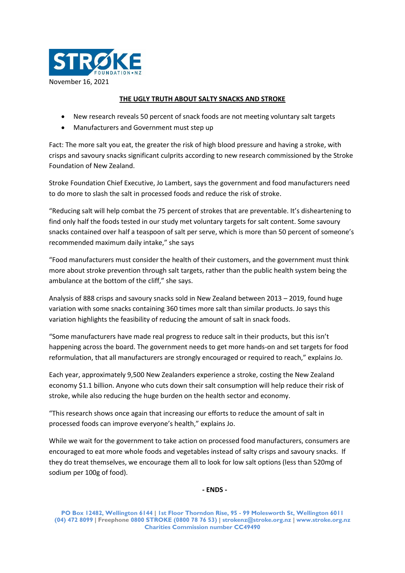

## **THE UGLY TRUTH ABOUT SALTY SNACKS AND STROKE**

- New research reveals 50 percent of snack foods are not meeting voluntary salt targets
- Manufacturers and Government must step up

Fact: The more salt you eat, the greater the risk of high blood pressure and having a stroke, with crisps and savoury snacks significant culprits according to new research commissioned by the Stroke Foundation of New Zealand.

Stroke Foundation Chief Executive, Jo Lambert, says the government and food manufacturers need to do more to slash the salt in processed foods and reduce the risk of stroke.

"Reducing salt will help combat the 75 percent of strokes that are preventable. It's disheartening to find only half the foods tested in our study met voluntary targets for salt content. Some savoury snacks contained over half a teaspoon of salt per serve, which is more than 50 percent of someone's recommended maximum daily intake," she says

"Food manufacturers must consider the health of their customers, and the government must think more about stroke prevention through salt targets, rather than the public health system being the ambulance at the bottom of the cliff," she says.

Analysis of 888 crisps and savoury snacks sold in New Zealand between 2013 – 2019, found huge variation with some snacks containing 360 times more salt than similar products. Jo says this variation highlights the feasibility of reducing the amount of salt in snack foods.

"Some manufacturers have made real progress to reduce salt in their products, but this isn't happening across the board. The government needs to get more hands-on and set targets for food reformulation, that all manufacturers are strongly encouraged or required to reach," explains Jo.

Each year, approximately 9,500 New Zealanders experience a stroke, costing the New Zealand economy \$1.1 billion. Anyone who cuts down their salt consumption will help reduce their risk of stroke, while also reducing the huge burden on the health sector and economy.

"This research shows once again that increasing our efforts to reduce the amount of salt in processed foods can improve everyone's health," explains Jo.

While we wait for the government to take action on processed food manufacturers, consumers are encouraged to eat more whole foods and vegetables instead of salty crisps and savoury snacks. If they do treat themselves, we encourage them all to look for low salt options (less than 520mg of sodium per 100g of food).

**- ENDS -**

**PO Box 12482, Wellington 6144 | 1st Floor Thorndon Rise, 95 - 99 Molesworth St, Wellington 6011 (04) 472 8099 | Freephone 0800 STROKE (0800 78 76 53) | strokenz@stroke.org.nz | www.stroke.org.nz Charities Commission number CC49490**